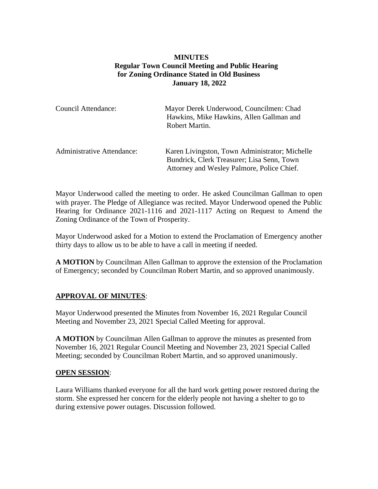# **MINUTES Regular Town Council Meeting and Public Hearing for Zoning Ordinance Stated in Old Business January 18, 2022**

| Council Attendance:               | Mayor Derek Underwood, Councilmen: Chad<br>Hawkins, Mike Hawkins, Allen Gallman and<br>Robert Martin.                                      |
|-----------------------------------|--------------------------------------------------------------------------------------------------------------------------------------------|
| <b>Administrative Attendance:</b> | Karen Livingston, Town Administrator; Michelle<br>Bundrick, Clerk Treasurer; Lisa Senn, Town<br>Attorney and Wesley Palmore, Police Chief. |

Mayor Underwood called the meeting to order. He asked Councilman Gallman to open with prayer. The Pledge of Allegiance was recited. Mayor Underwood opened the Public Hearing for Ordinance 2021-1116 and 2021-1117 Acting on Request to Amend the Zoning Ordinance of the Town of Prosperity.

Mayor Underwood asked for a Motion to extend the Proclamation of Emergency another thirty days to allow us to be able to have a call in meeting if needed.

**A MOTION** by Councilman Allen Gallman to approve the extension of the Proclamation of Emergency; seconded by Councilman Robert Martin, and so approved unanimously.

## **APPROVAL OF MINUTES**:

Mayor Underwood presented the Minutes from November 16, 2021 Regular Council Meeting and November 23, 2021 Special Called Meeting for approval.

**A MOTION** by Councilman Allen Gallman to approve the minutes as presented from November 16, 2021 Regular Council Meeting and November 23, 2021 Special Called Meeting; seconded by Councilman Robert Martin, and so approved unanimously.

#### **OPEN SESSION**:

Laura Williams thanked everyone for all the hard work getting power restored during the storm. She expressed her concern for the elderly people not having a shelter to go to during extensive power outages. Discussion followed.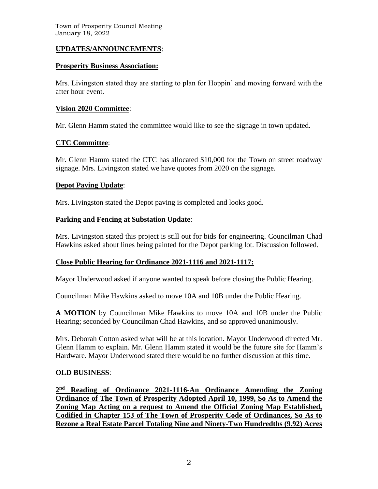### **UPDATES/ANNOUNCEMENTS**:

#### **Prosperity Business Association:**

Mrs. Livingston stated they are starting to plan for Hoppin' and moving forward with the after hour event.

#### **Vision 2020 Committee**:

Mr. Glenn Hamm stated the committee would like to see the signage in town updated.

### **CTC Committee**:

Mr. Glenn Hamm stated the CTC has allocated \$10,000 for the Town on street roadway signage. Mrs. Livingston stated we have quotes from 2020 on the signage.

### **Depot Paving Update**:

Mrs. Livingston stated the Depot paving is completed and looks good.

#### **Parking and Fencing at Substation Update**:

Mrs. Livingston stated this project is still out for bids for engineering. Councilman Chad Hawkins asked about lines being painted for the Depot parking lot. Discussion followed.

## **Close Public Hearing for Ordinance 2021-1116 and 2021-1117:**

Mayor Underwood asked if anyone wanted to speak before closing the Public Hearing.

Councilman Mike Hawkins asked to move 10A and 10B under the Public Hearing.

**A MOTION** by Councilman Mike Hawkins to move 10A and 10B under the Public Hearing; seconded by Councilman Chad Hawkins, and so approved unanimously.

Mrs. Deborah Cotton asked what will be at this location. Mayor Underwood directed Mr. Glenn Hamm to explain. Mr. Glenn Hamm stated it would be the future site for Hamm's Hardware. Mayor Underwood stated there would be no further discussion at this time.

#### **OLD BUSINESS**:

**2 nd Reading of Ordinance 2021-1116-An Ordinance Amending the Zoning Ordinance of The Town of Prosperity Adopted April 10, 1999, So As to Amend the Zoning Map Acting on a request to Amend the Official Zoning Map Established, Codified in Chapter 153 of The Town of Prosperity Code of Ordinances, So As to Rezone a Real Estate Parcel Totaling Nine and Ninety-Two Hundredths (9.92) Acres**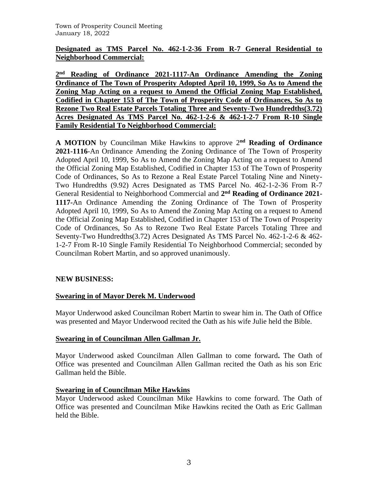## **Designated as TMS Parcel No. 462-1-2-36 From R-7 General Residential to Neighborhood Commercial:**

**2 nd Reading of Ordinance 2021-1117-An Ordinance Amending the Zoning Ordinance of The Town of Prosperity Adopted April 10, 1999, So As to Amend the Zoning Map Acting on a request to Amend the Official Zoning Map Established, Codified in Chapter 153 of The Town of Prosperity Code of Ordinances, So As to Rezone Two Real Estate Parcels Totaling Three and Seventy-Two Hundredths(3.72) Acres Designated As TMS Parcel No. 462-1-2-6 & 462-1-2-7 From R-10 Single Family Residential To Neighborhood Commercial:**

**A MOTION** by Councilman Mike Hawkins to approve 2 **nd Reading of Ordinance 2021-1116**-An Ordinance Amending the Zoning Ordinance of The Town of Prosperity Adopted April 10, 1999, So As to Amend the Zoning Map Acting on a request to Amend the Official Zoning Map Established, Codified in Chapter 153 of The Town of Prosperity Code of Ordinances, So As to Rezone a Real Estate Parcel Totaling Nine and Ninety-Two Hundredths (9.92) Acres Designated as TMS Parcel No. 462-1-2-36 From R-7 General Residential to Neighborhood Commercial and 2<sup>nd</sup> Reading of Ordinance 2021-**1117-**An Ordinance Amending the Zoning Ordinance of The Town of Prosperity Adopted April 10, 1999, So As to Amend the Zoning Map Acting on a request to Amend the Official Zoning Map Established, Codified in Chapter 153 of The Town of Prosperity Code of Ordinances, So As to Rezone Two Real Estate Parcels Totaling Three and Seventy-Two Hundredths(3.72) Acres Designated As TMS Parcel No. 462-1-2-6 & 462- 1-2-7 From R-10 Single Family Residential To Neighborhood Commercial; seconded by Councilman Robert Martin, and so approved unanimously.

## **NEW BUSINESS:**

## **Swearing in of Mayor Derek M. Underwood**

Mayor Underwood asked Councilman Robert Martin to swear him in. The Oath of Office was presented and Mayor Underwood recited the Oath as his wife Julie held the Bible.

## **Swearing in of Councilman Allen Gallman Jr.**

Mayor Underwood asked Councilman Allen Gallman to come forward**.** The Oath of Office was presented and Councilman Allen Gallman recited the Oath as his son Eric Gallman held the Bible.

## **Swearing in of Councilman Mike Hawkins**

Mayor Underwood asked Councilman Mike Hawkins to come forward. The Oath of Office was presented and Councilman Mike Hawkins recited the Oath as Eric Gallman held the Bible.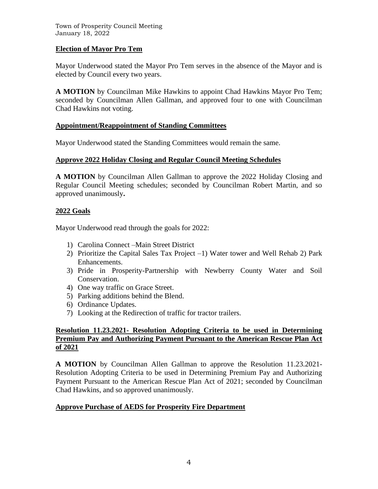Town of Prosperity Council Meeting January 18, 2022

### **Election of Mayor Pro Tem**

Mayor Underwood stated the Mayor Pro Tem serves in the absence of the Mayor and is elected by Council every two years.

**A MOTION** by Councilman Mike Hawkins to appoint Chad Hawkins Mayor Pro Tem; seconded by Councilman Allen Gallman, and approved four to one with Councilman Chad Hawkins not voting.

#### **Appointment/Reappointment of Standing Committees**

Mayor Underwood stated the Standing Committees would remain the same.

## **Approve 2022 Holiday Closing and Regular Council Meeting Schedules**

**A MOTION** by Councilman Allen Gallman to approve the 2022 Holiday Closing and Regular Council Meeting schedules; seconded by Councilman Robert Martin, and so approved unanimously**.** 

### **2022 Goals**

Mayor Underwood read through the goals for 2022:

- 1) Carolina Connect –Main Street District
- 2) Prioritize the Capital Sales Tax Project –1) Water tower and Well Rehab 2) Park Enhancements.
- 3) Pride in Prosperity-Partnership with Newberry County Water and Soil Conservation.
- 4) One way traffic on Grace Street.
- 5) Parking additions behind the Blend.
- 6) Ordinance Updates.
- 7) Looking at the Redirection of traffic for tractor trailers.

### **Resolution 11.23.2021- Resolution Adopting Criteria to be used in Determining Premium Pay and Authorizing Payment Pursuant to the American Rescue Plan Act of 2021**

**A MOTION** by Councilman Allen Gallman to approve the Resolution 11.23.2021- Resolution Adopting Criteria to be used in Determining Premium Pay and Authorizing Payment Pursuant to the American Rescue Plan Act of 2021; seconded by Councilman Chad Hawkins, and so approved unanimously.

## **Approve Purchase of AEDS for Prosperity Fire Department**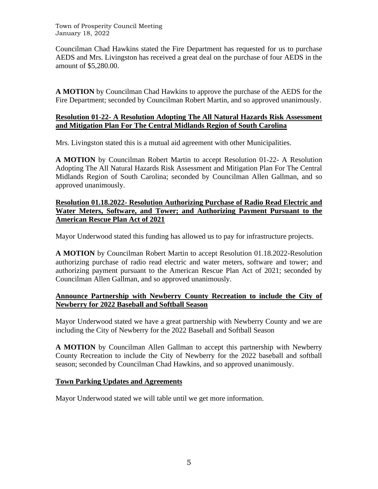Town of Prosperity Council Meeting January 18, 2022

Councilman Chad Hawkins stated the Fire Department has requested for us to purchase AEDS and Mrs. Livingston has received a great deal on the purchase of four AEDS in the amount of \$5,280.00.

**A MOTION** by Councilman Chad Hawkins to approve the purchase of the AEDS for the Fire Department; seconded by Councilman Robert Martin, and so approved unanimously.

### **Resolution 01-22- A Resolution Adopting The All Natural Hazards Risk Assessment and Mitigation Plan For The Central Midlands Region of South Carolina**

Mrs. Livingston stated this is a mutual aid agreement with other Municipalities.

**A MOTION** by Councilman Robert Martin to accept Resolution 01-22- A Resolution Adopting The All Natural Hazards Risk Assessment and Mitigation Plan For The Central Midlands Region of South Carolina; seconded by Councilman Allen Gallman, and so approved unanimously.

#### **Resolution 01.18.2022- Resolution Authorizing Purchase of Radio Read Electric and Water Meters, Software, and Tower; and Authorizing Payment Pursuant to the American Rescue Plan Act of 2021**

Mayor Underwood stated this funding has allowed us to pay for infrastructure projects.

**A MOTION** by Councilman Robert Martin to accept Resolution 01.18.2022-Resolution authorizing purchase of radio read electric and water meters, software and tower; and authorizing payment pursuant to the American Rescue Plan Act of 2021; seconded by Councilman Allen Gallman, and so approved unanimously.

## **Announce Partnership with Newberry County Recreation to include the City of Newberry for 2022 Baseball and Softball Season**

Mayor Underwood stated we have a great partnership with Newberry County and we are including the City of Newberry for the 2022 Baseball and Softball Season

**A MOTION** by Councilman Allen Gallman to accept this partnership with Newberry County Recreation to include the City of Newberry for the 2022 baseball and softball season; seconded by Councilman Chad Hawkins, and so approved unanimously.

## **Town Parking Updates and Agreements**

Mayor Underwood stated we will table until we get more information.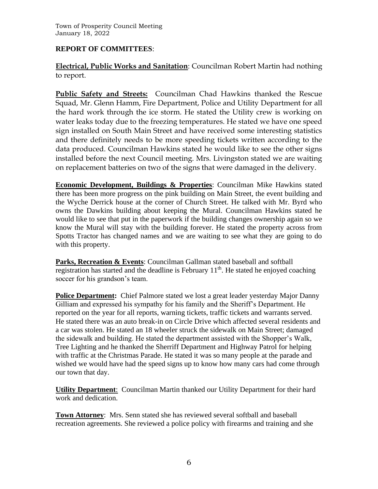# **REPORT OF COMMITTEES**:

**Electrical, Public Works and Sanitation**: Councilman Robert Martin had nothing to report.

**Public Safety and Streets:** Councilman Chad Hawkins thanked the Rescue Squad, Mr. Glenn Hamm, Fire Department, Police and Utility Department for all the hard work through the ice storm. He stated the Utility crew is working on water leaks today due to the freezing temperatures. He stated we have one speed sign installed on South Main Street and have received some interesting statistics and there definitely needs to be more speeding tickets written according to the data produced. Councilman Hawkins stated he would like to see the other signs installed before the next Council meeting. Mrs. Livingston stated we are waiting on replacement batteries on two of the signs that were damaged in the delivery.

**Economic Development, Buildings & Properties**: Councilman Mike Hawkins stated there has been more progress on the pink building on Main Street, the event building and the Wyche Derrick house at the corner of Church Street. He talked with Mr. Byrd who owns the Dawkins building about keeping the Mural. Councilman Hawkins stated he would like to see that put in the paperwork if the building changes ownership again so we know the Mural will stay with the building forever. He stated the property across from Spotts Tractor has changed names and we are waiting to see what they are going to do with this property.

Parks, Recreation & Events: Councilman Gallman stated baseball and softball registration has started and the deadline is February  $11<sup>th</sup>$ . He stated he enjoyed coaching soccer for his grandson's team.

**Police Department:** Chief Palmore stated we lost a great leader yesterday Major Danny Gilliam and expressed his sympathy for his family and the Sheriff's Department. He reported on the year for all reports, warning tickets, traffic tickets and warrants served. He stated there was an auto break-in on Circle Drive which affected several residents and a car was stolen. He stated an 18 wheeler struck the sidewalk on Main Street; damaged the sidewalk and building. He stated the department assisted with the Shopper's Walk, Tree Lighting and he thanked the Sherriff Department and Highway Patrol for helping with traffic at the Christmas Parade. He stated it was so many people at the parade and wished we would have had the speed signs up to know how many cars had come through our town that day.

**Utility Department**: Councilman Martin thanked our Utility Department for their hard work and dedication.

**Town Attorney**: Mrs. Senn stated she has reviewed several softball and baseball recreation agreements. She reviewed a police policy with firearms and training and she